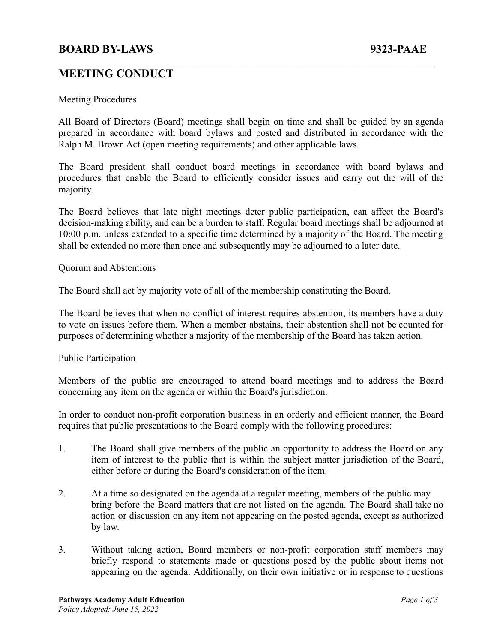# **BOARD BY-LAWS 9323-PAAE**

## **MEETING CONDUCT**

#### Meeting Procedures

All Board of Directors (Board) meetings shall begin on time and shall be guided by an agenda prepared in accordance with board bylaws and posted and distributed in accordance with the Ralph M. Brown Act (open meeting requirements) and other applicable laws.

 $\mathcal{L}_\mathcal{L} = \{ \mathcal{L}_\mathcal{L} = \{ \mathcal{L}_\mathcal{L} = \{ \mathcal{L}_\mathcal{L} = \{ \mathcal{L}_\mathcal{L} = \{ \mathcal{L}_\mathcal{L} = \{ \mathcal{L}_\mathcal{L} = \{ \mathcal{L}_\mathcal{L} = \{ \mathcal{L}_\mathcal{L} = \{ \mathcal{L}_\mathcal{L} = \{ \mathcal{L}_\mathcal{L} = \{ \mathcal{L}_\mathcal{L} = \{ \mathcal{L}_\mathcal{L} = \{ \mathcal{L}_\mathcal{L} = \{ \mathcal{L}_\mathcal{$ 

The Board president shall conduct board meetings in accordance with board bylaws and procedures that enable the Board to efficiently consider issues and carry out the will of the majority.

The Board believes that late night meetings deter public participation, can affect the Board's decision-making ability, and can be a burden to staff. Regular board meetings shall be adjourned at 10:00 p.m. unless extended to a specific time determined by a majority of the Board. The meeting shall be extended no more than once and subsequently may be adjourned to a later date.

Quorum and Abstentions

The Board shall act by majority vote of all of the membership constituting the Board.

The Board believes that when no conflict of interest requires abstention, its members have a duty to vote on issues before them. When a member abstains, their abstention shall not be counted for purposes of determining whether a majority of the membership of the Board has taken action.

#### Public Participation

Members of the public are encouraged to attend board meetings and to address the Board concerning any item on the agenda or within the Board's jurisdiction.

In order to conduct non-profit corporation business in an orderly and efficient manner, the Board requires that public presentations to the Board comply with the following procedures:

- 1. The Board shall give members of the public an opportunity to address the Board on any item of interest to the public that is within the subject matter jurisdiction of the Board, either before or during the Board's consideration of the item.
- 2. At a time so designated on the agenda at a regular meeting, members of the public may bring before the Board matters that are not listed on the agenda. The Board shall take no action or discussion on any item not appearing on the posted agenda, except as authorized by law.
- 3. Without taking action, Board members or non-profit corporation staff members may briefly respond to statements made or questions posed by the public about items not appearing on the agenda. Additionally, on their own initiative or in response to questions

 $\mathcal{L}_\mathcal{L} = \{ \mathcal{L}_\mathcal{L} = \{ \mathcal{L}_\mathcal{L} = \{ \mathcal{L}_\mathcal{L} = \{ \mathcal{L}_\mathcal{L} = \{ \mathcal{L}_\mathcal{L} = \{ \mathcal{L}_\mathcal{L} = \{ \mathcal{L}_\mathcal{L} = \{ \mathcal{L}_\mathcal{L} = \{ \mathcal{L}_\mathcal{L} = \{ \mathcal{L}_\mathcal{L} = \{ \mathcal{L}_\mathcal{L} = \{ \mathcal{L}_\mathcal{L} = \{ \mathcal{L}_\mathcal{L} = \{ \mathcal{L}_\mathcal{$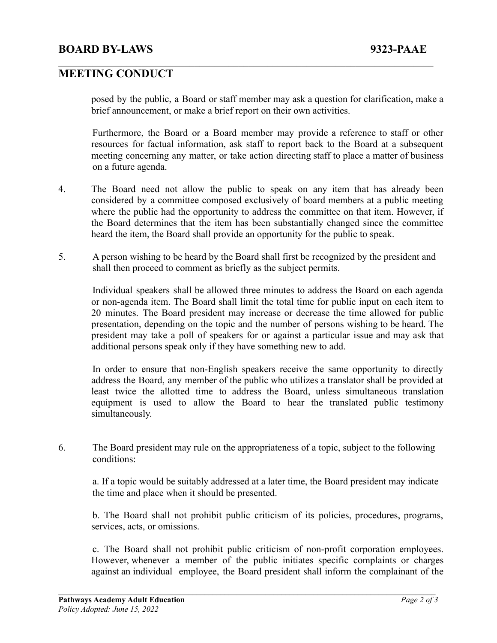## **BOARD BY-LAWS 9323-PAAE**

## **MEETING CONDUCT**

posed by the public, a Board or staff member may ask a question for clarification, make a brief announcement, or make a brief report on their own activities.

 $\mathcal{L}_\mathcal{L} = \{ \mathcal{L}_\mathcal{L} = \{ \mathcal{L}_\mathcal{L} = \{ \mathcal{L}_\mathcal{L} = \{ \mathcal{L}_\mathcal{L} = \{ \mathcal{L}_\mathcal{L} = \{ \mathcal{L}_\mathcal{L} = \{ \mathcal{L}_\mathcal{L} = \{ \mathcal{L}_\mathcal{L} = \{ \mathcal{L}_\mathcal{L} = \{ \mathcal{L}_\mathcal{L} = \{ \mathcal{L}_\mathcal{L} = \{ \mathcal{L}_\mathcal{L} = \{ \mathcal{L}_\mathcal{L} = \{ \mathcal{L}_\mathcal{$ 

Furthermore, the Board or a Board member may provide a reference to staff or other resources for factual information, ask staff to report back to the Board at a subsequent meeting concerning any matter, or take action directing staff to place a matter of business on a future agenda.

- 4. The Board need not allow the public to speak on any item that has already been considered by a committee composed exclusively of board members at a public meeting where the public had the opportunity to address the committee on that item. However, if the Board determines that the item has been substantially changed since the committee heard the item, the Board shall provide an opportunity for the public to speak.
- 5. A person wishing to be heard by the Board shall first be recognized by the president and shall then proceed to comment as briefly as the subject permits.

Individual speakers shall be allowed three minutes to address the Board on each agenda or non-agenda item. The Board shall limit the total time for public input on each item to 20 minutes. The Board president may increase or decrease the time allowed for public presentation, depending on the topic and the number of persons wishing to be heard. The president may take a poll of speakers for or against a particular issue and may ask that additional persons speak only if they have something new to add.

In order to ensure that non-English speakers receive the same opportunity to directly address the Board, any member of the public who utilizes a translator shall be provided at least twice the allotted time to address the Board, unless simultaneous translation equipment is used to allow the Board to hear the translated public testimony simultaneously.

6. The Board president may rule on the appropriateness of a topic, subject to the following conditions:

a. If a topic would be suitably addressed at a later time, the Board president may indicate the time and place when it should be presented.

b. The Board shall not prohibit public criticism of its policies, procedures, programs, services, acts, or omissions.

c. The Board shall not prohibit public criticism of non-profit corporation employees. However, whenever a member of the public initiates specific complaints or charges against an individual employee, the Board president shall inform the complainant of the

 $\mathcal{L}_\mathcal{L} = \{ \mathcal{L}_\mathcal{L} = \{ \mathcal{L}_\mathcal{L} = \{ \mathcal{L}_\mathcal{L} = \{ \mathcal{L}_\mathcal{L} = \{ \mathcal{L}_\mathcal{L} = \{ \mathcal{L}_\mathcal{L} = \{ \mathcal{L}_\mathcal{L} = \{ \mathcal{L}_\mathcal{L} = \{ \mathcal{L}_\mathcal{L} = \{ \mathcal{L}_\mathcal{L} = \{ \mathcal{L}_\mathcal{L} = \{ \mathcal{L}_\mathcal{L} = \{ \mathcal{L}_\mathcal{L} = \{ \mathcal{L}_\mathcal{$